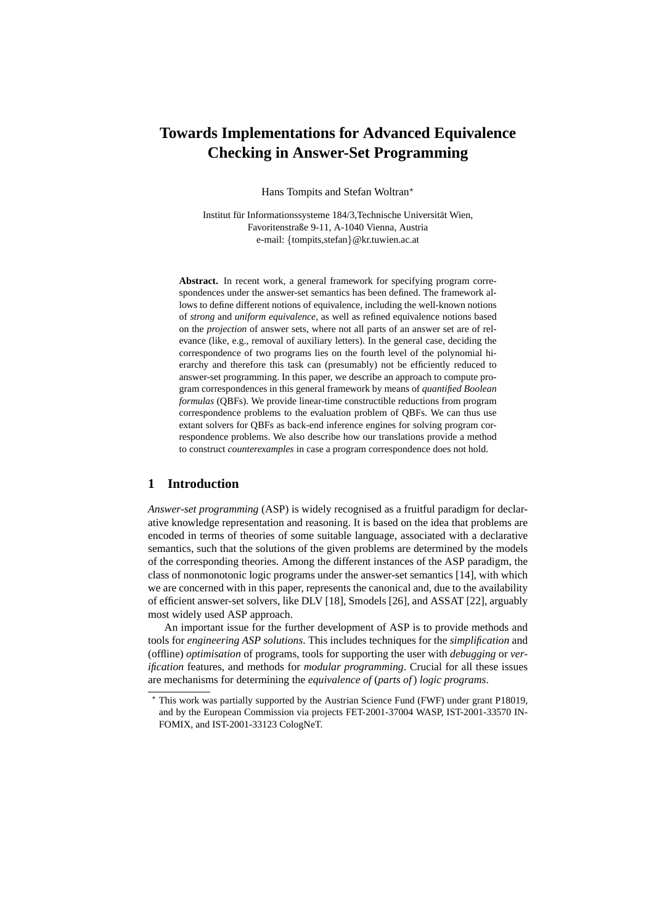# **Towards Implementations for Advanced Equivalence Checking in Answer-Set Programming**

Hans Tompits and Stefan Woltran?

Institut für Informationssysteme 184/3,Technische Universität Wien, Favoritenstraße 9-11, A-1040 Vienna, Austria e-mail: {tompits,stefan}@kr.tuwien.ac.at

**Abstract.** In recent work, a general framework for specifying program correspondences under the answer-set semantics has been defined. The framework allows to define different notions of equivalence, including the well-known notions of *strong* and *uniform equivalence*, as well as refined equivalence notions based on the *projection* of answer sets, where not all parts of an answer set are of relevance (like, e.g., removal of auxiliary letters). In the general case, deciding the correspondence of two programs lies on the fourth level of the polynomial hierarchy and therefore this task can (presumably) not be efficiently reduced to answer-set programming. In this paper, we describe an approach to compute program correspondences in this general framework by means of *quantified Boolean formulas* (QBFs). We provide linear-time constructible reductions from program correspondence problems to the evaluation problem of QBFs. We can thus use extant solvers for QBFs as back-end inference engines for solving program correspondence problems. We also describe how our translations provide a method to construct *counterexamples* in case a program correspondence does not hold.

# **1 Introduction**

*Answer-set programming* (ASP) is widely recognised as a fruitful paradigm for declarative knowledge representation and reasoning. It is based on the idea that problems are encoded in terms of theories of some suitable language, associated with a declarative semantics, such that the solutions of the given problems are determined by the models of the corresponding theories. Among the different instances of the ASP paradigm, the class of nonmonotonic logic programs under the answer-set semantics [14], with which we are concerned with in this paper, represents the canonical and, due to the availability of efficient answer-set solvers, like DLV [18], Smodels [26], and ASSAT [22], arguably most widely used ASP approach.

An important issue for the further development of ASP is to provide methods and tools for *engineering ASP solutions*. This includes techniques for the *simplification* and (offline) *optimisation* of programs, tools for supporting the user with *debugging* or *verification* features, and methods for *modular programming*. Crucial for all these issues are mechanisms for determining the *equivalence of* (*parts of*) *logic programs*.

<sup>?</sup> This work was partially supported by the Austrian Science Fund (FWF) under grant P18019, and by the European Commission via projects FET-2001-37004 WASP, IST-2001-33570 IN-FOMIX, and IST-2001-33123 CologNeT.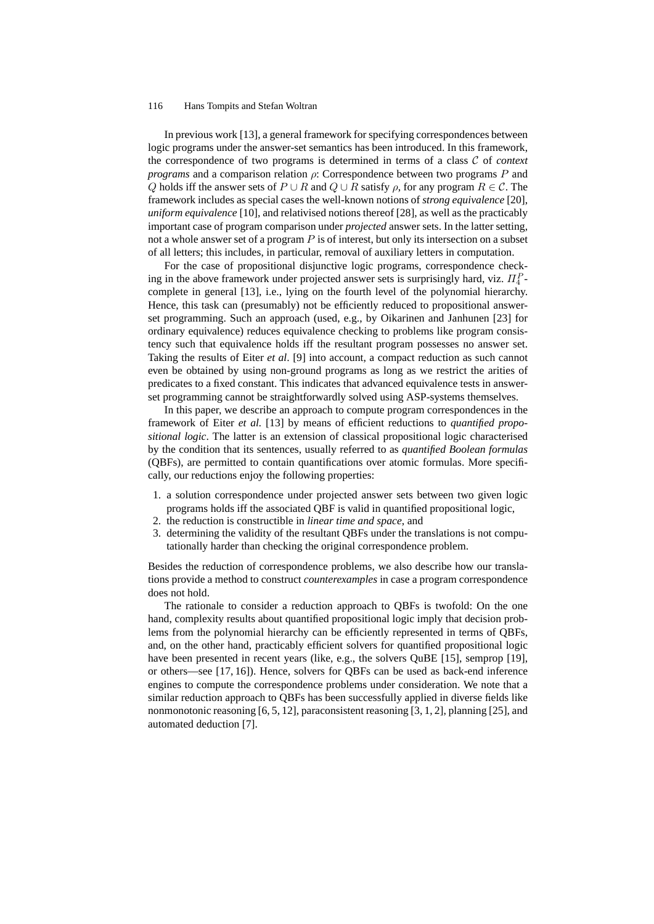In previous work [13], a general framework for specifying correspondences between logic programs under the answer-set semantics has been introduced. In this framework, the correspondence of two programs is determined in terms of a class C of *context programs* and a comparison relation  $\rho$ : Correspondence between two programs  $P$  and Q holds iff the answer sets of  $P \cup R$  and  $Q \cup R$  satisfy  $\rho$ , for any program  $R \in \mathcal{C}$ . The framework includes as special cases the well-known notions of *strong equivalence* [20], *uniform equivalence* [10], and relativised notions thereof [28], as well as the practicably important case of program comparison under *projected* answer sets. In the latter setting, not a whole answer set of a program  $P$  is of interest, but only its intersection on a subset of all letters; this includes, in particular, removal of auxiliary letters in computation.

For the case of propositional disjunctive logic programs, correspondence checking in the above framework under projected answer sets is surprisingly hard, viz.  $\Pi_4^P$ complete in general [13], i.e., lying on the fourth level of the polynomial hierarchy. Hence, this task can (presumably) not be efficiently reduced to propositional answerset programming. Such an approach (used, e.g., by Oikarinen and Janhunen [23] for ordinary equivalence) reduces equivalence checking to problems like program consistency such that equivalence holds iff the resultant program possesses no answer set. Taking the results of Eiter *et al*. [9] into account, a compact reduction as such cannot even be obtained by using non-ground programs as long as we restrict the arities of predicates to a fixed constant. This indicates that advanced equivalence tests in answerset programming cannot be straightforwardly solved using ASP-systems themselves.

In this paper, we describe an approach to compute program correspondences in the framework of Eiter *et al.* [13] by means of efficient reductions to *quantified propositional logic*. The latter is an extension of classical propositional logic characterised by the condition that its sentences, usually referred to as *quantified Boolean formulas* (QBFs), are permitted to contain quantifications over atomic formulas. More specifically, our reductions enjoy the following properties:

- 1. a solution correspondence under projected answer sets between two given logic programs holds iff the associated QBF is valid in quantified propositional logic,
- 2. the reduction is constructible in *linear time and space*, and
- 3. determining the validity of the resultant QBFs under the translations is not computationally harder than checking the original correspondence problem.

Besides the reduction of correspondence problems, we also describe how our translations provide a method to construct *counterexamples* in case a program correspondence does not hold.

The rationale to consider a reduction approach to QBFs is twofold: On the one hand, complexity results about quantified propositional logic imply that decision problems from the polynomial hierarchy can be efficiently represented in terms of QBFs, and, on the other hand, practicably efficient solvers for quantified propositional logic have been presented in recent years (like, e.g., the solvers QuBE [15], semprop [19], or others—see [17, 16]). Hence, solvers for QBFs can be used as back-end inference engines to compute the correspondence problems under consideration. We note that a similar reduction approach to QBFs has been successfully applied in diverse fields like nonmonotonic reasoning  $[6, 5, 12]$ , paraconsistent reasoning  $[3, 1, 2]$ , planning  $[25]$ , and automated deduction [7].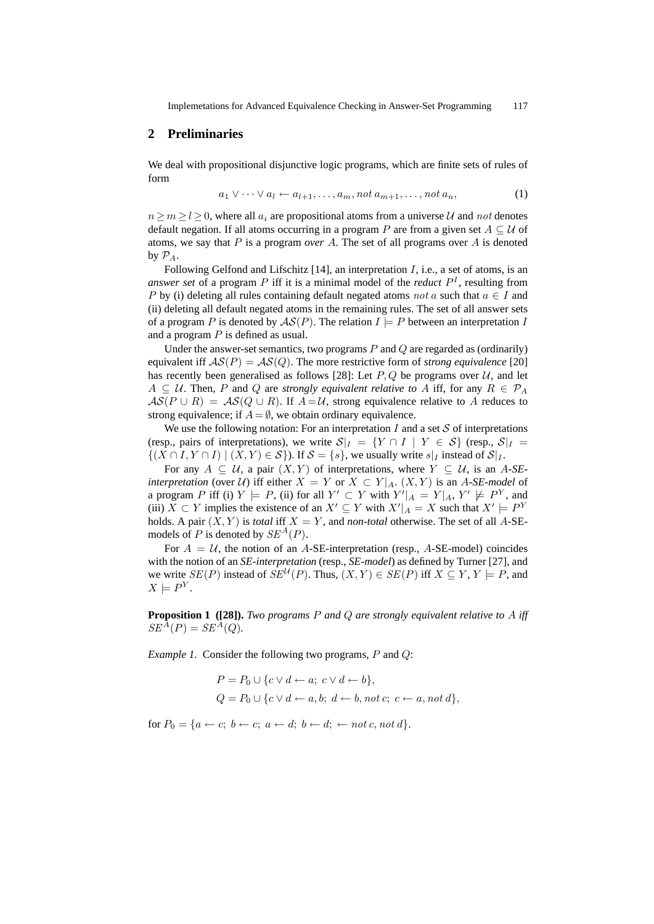## **2 Preliminaries**

We deal with propositional disjunctive logic programs, which are finite sets of rules of form

$$
a_1 \vee \cdots \vee a_l \leftarrow a_{l+1}, \ldots, a_m, \text{not } a_{m+1}, \ldots, \text{not } a_n,
$$
\n<sup>(1)</sup>

 $n \ge m \ge l \ge 0$ , where all  $a_i$  are propositional atoms from a universe U and not denotes default negation. If all atoms occurring in a program P are from a given set  $A \subseteq U$  of atoms, we say that P is a program *over* A. The set of all programs over A is denoted by  $\mathcal{P}_A$ .

Following Gelfond and Lifschitz  $[14]$ , an interpretation  $I$ , i.e., a set of atoms, is an *answer set* of a program  $P$  iff it is a minimal model of the *reduct*  $P<sup>I</sup>$ , resulting from P by (i) deleting all rules containing default negated atoms not a such that  $a \in I$  and (ii) deleting all default negated atoms in the remaining rules. The set of all answer sets of a program P is denoted by  $AS(P)$ . The relation  $I \models P$  between an interpretation I and a program  $P$  is defined as usual.

Under the answer-set semantics, two programs  $P$  and  $Q$  are regarded as (ordinarily) equivalent iff  $AS(P) = AS(Q)$ . The more restrictive form of *strong equivalence* [20] has recently been generalised as follows [28]: Let  $P, Q$  be programs over  $U$ , and let  $A \subseteq U$ . Then, P and Q are *strongly equivalent relative to* A iff, for any  $R \in \mathcal{P}_A$  $AS(P \cup R) = AS(Q \cup R)$ . If  $A = U$ , strong equivalence relative to A reduces to strong equivalence; if  $A = \emptyset$ , we obtain ordinary equivalence.

We use the following notation: For an interpretation I and a set  $S$  of interpretations (resp., pairs of interpretations), we write  $S|_I = \{Y \cap I \mid Y \in S\}$  (resp.,  $S|_I =$  $\{(X \cap I, Y \cap I) \mid (X, Y) \in S\}$ ). If  $S = \{s\}$ , we usually write  $s|_I$  instead of  $S|_I$ .

For any  $A \subseteq U$ , a pair  $(X, Y)$  of interpretations, where  $Y \subseteq U$ , is an A-SE*interpretation* (over U) iff either  $X = Y$  or  $X \subset Y|_{A}$ .  $(X, Y)$  is an A-SE-model of a program P iff (i)  $Y \models P$ , (ii) for all  $Y' \subset Y$  with  $Y'|_A = Y|_A$ ,  $Y' \not\models P^Y$ , and (iii)  $X \subset Y$  implies the existence of an  $X' \subseteq Y$  with  $X'|_A = X$  such that  $X' \models P^Y$ holds. A pair  $(X, Y)$  is *total* iff  $X = Y$ , and *non-total* otherwise. The set of all A-SEmodels of P is denoted by  $SE^{A}(P)$ .

For  $A = U$ , the notion of an A-SE-interpretation (resp., A-SE-model) coincides with the notion of an *SE-interpretation* (resp., *SE-model*) as defined by Turner [27], and we write  $SE(P)$  instead of  $SE^{\mathcal{U}}(P)$ . Thus,  $(X, Y) \in SE(P)$  iff  $X \subseteq Y, Y \models P$ , and  $X \models P^Y.$ 

**Proposition 1** ([28]). *Two programs* P and Q are strongly equivalent relative to A iff  $SE^{A}(P) = SE^{A}(Q).$ 

*Example 1.* Consider the following two programs, P and Q:

$$
P = P_0 \cup \{c \lor d \leftarrow a; \ c \lor d \leftarrow b\},
$$
  

$$
Q = P_0 \cup \{c \lor d \leftarrow a, b; \ d \leftarrow b, not \ c; \ c \leftarrow a, not \ d\},
$$

for  $P_0 = \{a \leftarrow c; b \leftarrow c; a \leftarrow d; b \leftarrow d; \leftarrow not \, c, not \, d\}.$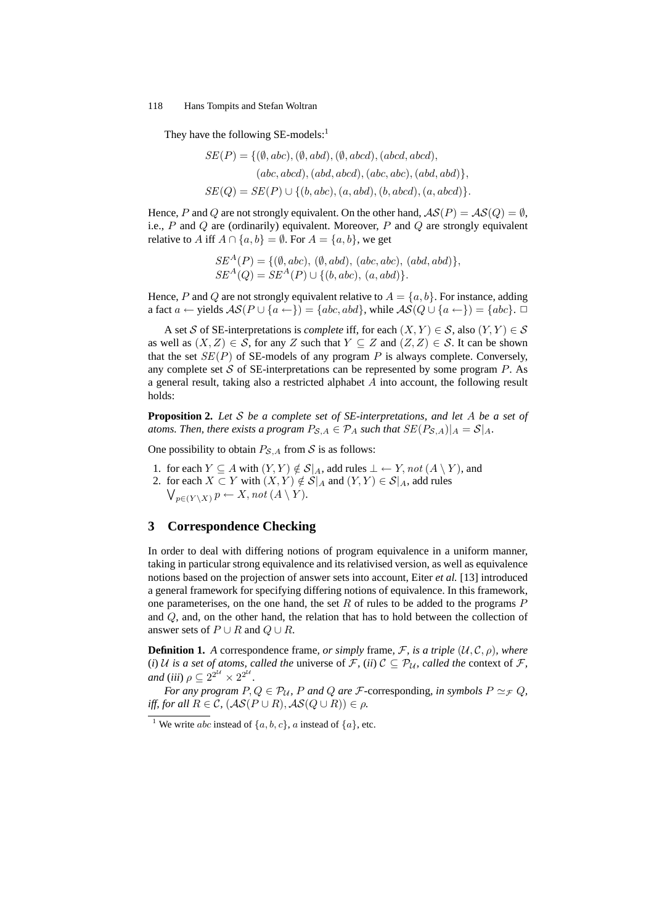They have the following  $SE$ -models:<sup>1</sup>

$$
SE(P) = \{ (\emptyset, abc), (\emptyset, abd), (\emptyset, abcd), (abcd, abcd),
$$

$$
(abc, abcd), (abd, abcd), (abc, abc), (abd, abd) \},
$$

$$
SE(Q) = SE(P) \cup \{ (b, abc), (a, abd), (b, abcd), (a, abcd) \}.
$$

Hence, P and Q are not strongly equivalent. On the other hand,  $AS(P) = AS(Q) = \emptyset$ , i.e.,  $P$  and  $Q$  are (ordinarily) equivalent. Moreover,  $P$  and  $Q$  are strongly equivalent relative to A iff  $A \cap \{a, b\} = \emptyset$ . For  $A = \{a, b\}$ , we get

> $SE^{A}(P) = \{ (\emptyset, abc), (\emptyset, abd), (abc, abc), (abd, abd) \},$  $SE^{A}(Q) = SE^{A}(P) \cup \{(b, abc), (a, abd)\}.$

Hence, P and Q are not strongly equivalent relative to  $A = \{a, b\}$ . For instance, adding a fact  $a \leftarrow$  yields  $\mathcal{AS}(P \cup \{a \leftarrow\}) = \{abc, abd\}$ , while  $\mathcal{AS}(Q \cup \{a \leftarrow\}) = \{abc\}$ .

A set S of SE-interpretations is *complete* iff, for each  $(X, Y) \in S$ , also  $(Y, Y) \in S$ as well as  $(X, Z) \in S$ , for any Z such that  $Y \subseteq Z$  and  $(Z, Z) \in S$ . It can be shown that the set  $SE(P)$  of SE-models of any program P is always complete. Conversely, any complete set S of SE-interpretations can be represented by some program  $P$ . As a general result, taking also a restricted alphabet  $A$  into account, the following result holds:

**Proposition 2.** *Let* S *be a complete set of SE-interpretations, and let* A *be a set of atoms. Then, there exists a program*  $P_{\mathcal{S},A} \in \mathcal{P}_A$  *such that*  $SE(P_{\mathcal{S},A})|_A = \mathcal{S}|_A$ *.* 

One possibility to obtain  $P_{\mathcal{S},A}$  from  $\mathcal S$  is as follows:

- 1. for each  $Y \subseteq A$  with  $(Y, Y) \notin S | A$ , add rules  $\bot \leftarrow Y$ , not  $(A \setminus Y)$ , and
- 2. for each  $X \subset Y$  with  $(X, Y) \notin S \mid_A$  and  $(Y, Y) \in S \mid_A$ , add rules  $\bigvee_{p\in (Y\setminus X)} p\leftarrow X$ , not  $(A\setminus Y)$ .

# **3 Correspondence Checking**

In order to deal with differing notions of program equivalence in a uniform manner, taking in particular strong equivalence and its relativised version, as well as equivalence notions based on the projection of answer sets into account, Eiter *et al.* [13] introduced a general framework for specifying differing notions of equivalence. In this framework, one parameterises, on the one hand, the set  $R$  of rules to be added to the programs  $P$ and Q, and, on the other hand, the relation that has to hold between the collection of answer sets of  $P \cup R$  and  $Q \cup R$ .

**Definition 1.** *A* correspondence frame, *or simply* frame, *F*, *is a triple*  $(U, \mathcal{C}, \rho)$ *, where* (*i*) U is a set of atoms, called the universe of F, (*ii*)  $C \subseteq P_U$ , called the context of F, and (iii)  $\rho \subseteq 2^{2^{\mathcal{U}}} \times 2^{2^{\mathcal{U}}}$ .

*For any program*  $P, Q \in \mathcal{P}_U$ , P and Q are F-corresponding, in symbols  $P \simeq_{\mathcal{F}} Q$ , *iff, for all*  $R \in \mathcal{C}$ ,  $(\mathcal{AS}(P \cup R), \mathcal{AS}(Q \cup R)) \in \rho$ .

<sup>&</sup>lt;sup>1</sup> We write *abc* instead of  $\{a, b, c\}$ , *a* instead of  $\{a\}$ , etc.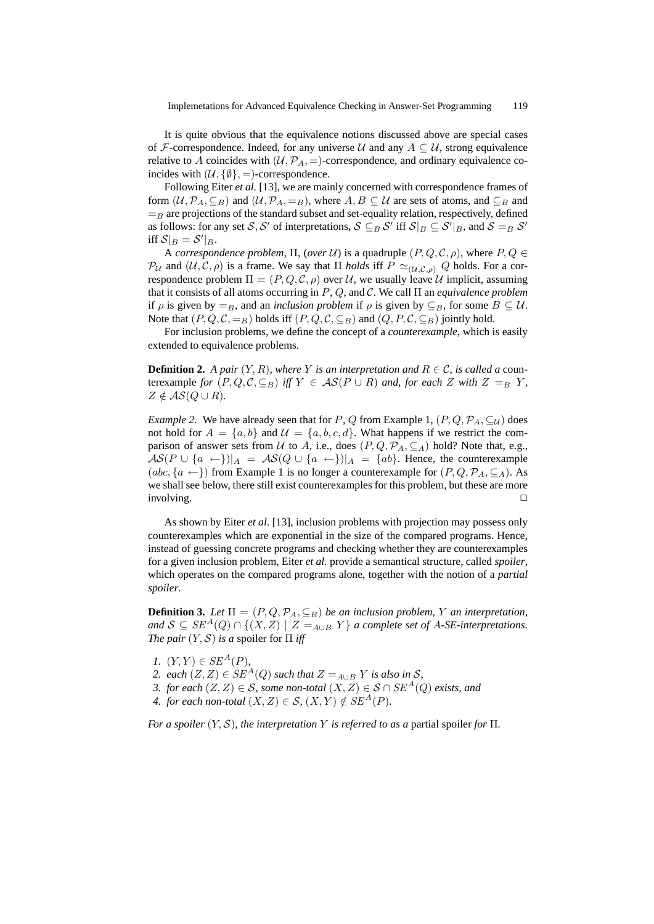It is quite obvious that the equivalence notions discussed above are special cases of F-correspondence. Indeed, for any universe U and any  $A \subseteq U$ , strong equivalence relative to A coincides with  $(U, \mathcal{P}_A, =)$ -correspondence, and ordinary equivalence coincides with  $(U, \{\emptyset\}, =)$ -correspondence.

Following Eiter *et al.* [13], we are mainly concerned with correspondence frames of form  $(\mathcal{U}, \mathcal{P}_A, \subseteq_B)$  and  $(\mathcal{U}, \mathcal{P}_A, =_B)$ , where  $A, B \subseteq \mathcal{U}$  are sets of atoms, and  $\subseteq_B$  and  $=$ B are projections of the standard subset and set-equality relation, respectively, defined as follows: for any set S, S' of interpretations,  $S \subseteq_B S'$  iff  $S|_B \subseteq S'|_B$ , and  $S =_B S'$ iff  $\mathcal{S}|_B = \mathcal{S}'|_B$ .

A *correspondence problem*,  $\Pi$ , (*over*  $U$ ) is a quadruple  $(P, Q, C, \rho)$ , where  $P, Q \in$  $\mathcal{P}_U$  and  $(\mathcal{U}, \mathcal{C}, \rho)$  is a frame. We say that  $\Pi$  *holds* iff  $P \simeq_{(\mathcal{U},\mathcal{C},\rho)} Q$  holds. For a correspondence problem  $\Pi = (P, Q, C, \rho)$  over U, we usually leave U implicit, assuming that it consists of all atoms occurring in P, Q, and C. We call Π an *equivalence problem* if  $\rho$  is given by  $=_B$ , and an *inclusion problem* if  $\rho$  is given by  $\subseteq_B$ , for some  $B \subseteq U$ . Note that  $(P, Q, C, =_B)$  holds iff  $(P, Q, C, \subseteq_B)$  and  $(Q, P, C, \subseteq_B)$  jointly hold.

For inclusion problems, we define the concept of a *counterexample*, which is easily extended to equivalence problems.

**Definition 2.** *A pair*  $(Y, R)$ *, where* Y *is an interpretation and*  $R \in \mathcal{C}$ *, is called a* counterexample *for*  $(P, Q, C, \subseteq_B)$  *iff*  $Y \in AS(P \cup R)$  *and, for each* Z *with*  $Z =_B Y$ ,  $Z \notin AS(Q \cup R)$ .

*Example 2.* We have already seen that for P, Q from Example 1,  $(P, Q, \mathcal{P}_A, \subseteq_{\mathcal{U}})$  does not hold for  $A = \{a, b\}$  and  $\mathcal{U} = \{a, b, c, d\}$ . What happens if we restrict the comparison of answer sets from U to A, i.e., does  $(P, Q, \mathcal{P}_A, \subseteq_A)$  hold? Note that, e.g.,  $\mathcal{AS}(P \cup \{a \leftarrow\})|_{A} = \mathcal{AS}(Q \cup \{a \leftarrow\})|_{A} = \{ab\}.$  Hence, the counterexample  $(abc, {a \leftarrow})$  from Example 1 is no longer a counterexample for  $(P, Q, \mathcal{P}_A, \subseteq_A)$ . As we shall see below, there still exist counterexamples for this problem, but these are more involving.  $\Box$ 

As shown by Eiter *et al*. [13], inclusion problems with projection may possess only counterexamples which are exponential in the size of the compared programs. Hence, instead of guessing concrete programs and checking whether they are counterexamples for a given inclusion problem, Eiter *et al.* provide a semantical structure, called *spoiler*, which operates on the compared programs alone, together with the notion of a *partial spoiler*.

**Definition 3.** *Let*  $\Pi = (P, Q, P_A, \subseteq_B)$  *be an inclusion problem, Y an interpretation, and*  $S \subseteq SE^A(Q) \cap \{(X, Z) \mid Z = A \cup B \mid Y\}$  *a complete set of A-SE-interpretations. The pair*  $(Y, S)$  *is a spoiler for*  $\Pi$  *iff* 

- *1.*  $(Y, Y) \in SE^{A}(P)$ ,
- 2. each  $(Z, Z) \in SE^A(Q)$  *such that*  $Z =_{A \cup B} Y$  *is also in* S,
- *3. for each*  $(Z, Z) \in S$ *, some non-total*  $(X, Z) \in S \cap SE^{A}(Q)$  *exists, and*
- *4. for each non-total*  $(X, Z) \in S$ ,  $(X, Y) \notin SE^A(P)$ *.*

*For a spoiler*  $(Y, S)$ *, the interpretation* Y *is referred to as a partial spoiler for*  $\Pi$ *.*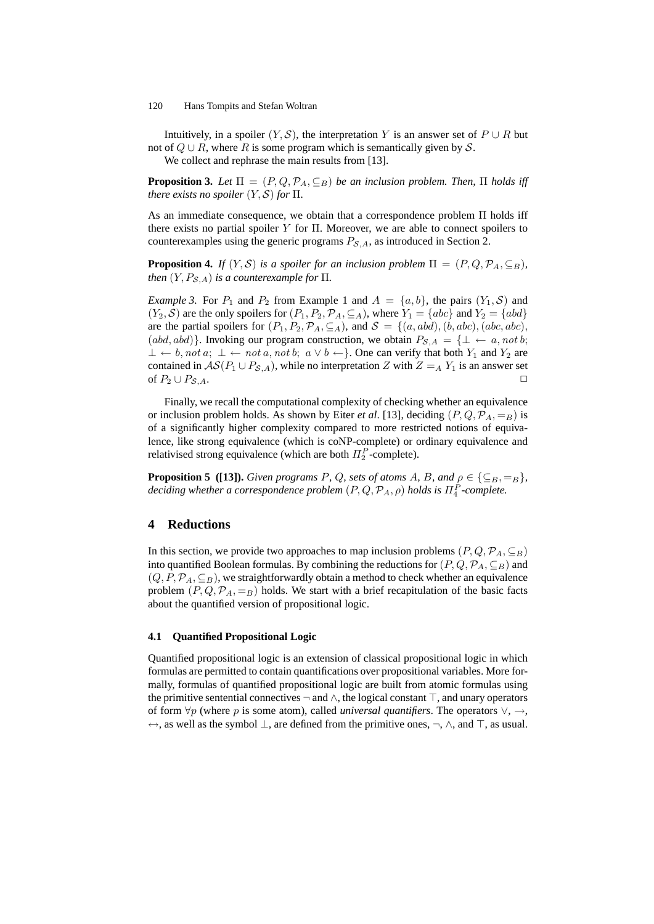Intuitively, in a spoiler  $(Y, S)$ , the interpretation Y is an answer set of  $P \cup R$  but not of  $Q \cup R$ , where R is some program which is semantically given by S.

We collect and rephrase the main results from [13].

**Proposition 3.** *Let*  $\Pi = (P, Q, \mathcal{P}_A, \subseteq_B)$  *be an inclusion problem. Then,*  $\Pi$  *holds iff there exists no spoiler*  $(Y, S)$  *for*  $\Pi$ *.* 

As an immediate consequence, we obtain that a correspondence problem Π holds iff there exists no partial spoiler  $Y$  for  $\Pi$ . Moreover, we are able to connect spoilers to counterexamples using the generic programs  $P_{\mathcal{S},A}$ , as introduced in Section 2.

**Proposition 4.** *If*  $(Y, S)$  *is a spoiler for an inclusion problem*  $\Pi = (P, Q, P_A, \subseteq_B)$ *, then*  $(Y, P_{\mathcal{S},A})$  *is a counterexample for*  $\Pi$ *.* 

*Example 3.* For  $P_1$  and  $P_2$  from Example 1 and  $A = \{a, b\}$ , the pairs  $(Y_1, \mathcal{S})$  and  $(Y_2, S)$  are the only spoilers for  $(P_1, P_2, \mathcal{P}_A, \subseteq_A)$ , where  $Y_1 = \{abc\}$  and  $Y_2 = \{abd\}$ are the partial spoilers for  $(P_1, P_2, \mathcal{P}_A, \subseteq_A)$ , and  $\mathcal{S} = \{(a, abd), (b, abc), (abc, abc),$  $(abd, abd)$ . Invoking our program construction, we obtain  $P_{\mathcal{S},A} = \{\perp \leftarrow a, not\ b;$  $\bot \leftarrow b$ , not a;  $\bot \leftarrow not \, a$ , not b;  $a \vee b \leftarrow$ }. One can verify that both  $Y_1$  and  $Y_2$  are contained in  $AS(P_1 \cup P_{S,A})$ , while no interpretation Z with  $Z =_A Y_1$  is an answer set of  $P_2 \cup P_{S,A}$ .

Finally, we recall the computational complexity of checking whether an equivalence or inclusion problem holds. As shown by Eiter *et al.* [13], deciding  $(P, Q, \mathcal{P}_A, =_B)$  is of a significantly higher complexity compared to more restricted notions of equivalence, like strong equivalence (which is coNP-complete) or ordinary equivalence and relativised strong equivalence (which are both  $\Pi_2^P$ -complete).

**Proposition 5** ([13]). *Given programs P, Q, sets of atoms A, B, and*  $\rho \in \{\subseteq_B, =_B\}$ *,*  $\emph{deciding whether a correspondence problem $(P,Q,\mathcal{P}_A,\rho)$ holds is $\Pi_4^P$-complete.}$ 

# **4 Reductions**

In this section, we provide two approaches to map inclusion problems  $(P, Q, \mathcal{P}_A, \subseteq_B)$ into quantified Boolean formulas. By combining the reductions for  $(P, Q, \mathcal{P}_A, \subseteq_B)$  and  $(Q, P, \mathcal{P}_A, \subseteq_B)$ , we straightforwardly obtain a method to check whether an equivalence problem  $(P, Q, \mathcal{P}_A, =_B)$  holds. We start with a brief recapitulation of the basic facts about the quantified version of propositional logic.

### **4.1 Quantified Propositional Logic**

Quantified propositional logic is an extension of classical propositional logic in which formulas are permitted to contain quantifications over propositional variables. More formally, formulas of quantified propositional logic are built from atomic formulas using the primitive sentential connectives  $\neg$  and  $\wedge$ , the logical constant  $\top$ , and unary operators of form  $\forall p$  (where p is some atom), called *universal quantifiers*. The operators  $\vee, \rightarrow,$  $\leftrightarrow$ , as well as the symbol  $\perp$ , are defined from the primitive ones,  $\neg$ ,  $\wedge$ , and  $\top$ , as usual.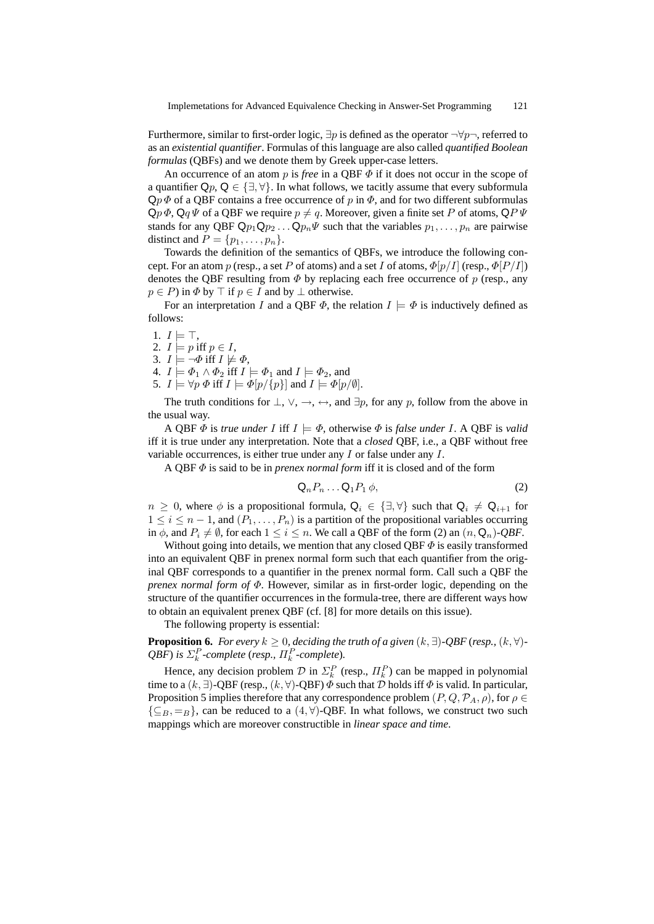Furthermore, similar to first-order logic,  $\exists p$  is defined as the operator  $\neg \forall p \neg$ , referred to as an *existential quantifier*. Formulas of this language are also called *quantified Boolean formulas* (QBFs) and we denote them by Greek upper-case letters.

An occurrence of an atom p is *free* in a QBF Φ if it does not occur in the scope of a quantifier  $\mathsf{Q}_p, \mathsf{Q} \in \{\exists, \forall\}$ . In what follows, we tacitly assume that every subformula  $Qp \Phi$  of a QBF contains a free occurrence of p in  $\Phi$ , and for two different subformulas  $\mathsf{Q}p\Phi, \mathsf{Q}q\Psi$  of a QBF we require  $p\neq q$ . Moreover, given a finite set P of atoms,  $\mathsf{Q}P\Psi$ stands for any QBF  $\mathsf{Q}p_1\mathsf{Q}p_2\ldots\mathsf{Q}p_n\Psi$  such that the variables  $p_1, \ldots, p_n$  are pairwise distinct and  $P = \{p_1, \ldots, p_n\}.$ 

Towards the definition of the semantics of QBFs, we introduce the following concept. For an atom p (resp., a set P of atoms) and a set I of atoms,  $\Phi[p/I]$  (resp.,  $\Phi[P/I]$ ) denotes the QBF resulting from  $\Phi$  by replacing each free occurrence of p (resp., any  $p \in P$ ) in  $\Phi$  by  $\top$  if  $p \in I$  and by  $\bot$  otherwise.

For an interpretation I and a QBF  $\Phi$ , the relation  $I \models \Phi$  is inductively defined as follows:

- 1.  $I \models \top$ ,
- 2.  $I \models p \text{ iff } p \in I$ ,
- 3.  $I \models \neg \Phi$  iff  $I \not\models \Phi$ ,
- 4.  $I \models \Phi_1 \land \Phi_2$  iff  $I \models \Phi_1$  and  $I \models \Phi_2$ , and
- 5.  $I \models \forall p \Phi$  iff  $I \models \Phi[p/\{p\}]$  and  $I \models \Phi[p/\emptyset]$ .

The truth conditions for  $\bot$ ,  $\lor$ ,  $\rightarrow$ ,  $\leftrightarrow$ , and  $\exists p$ , for any p, follow from the above in the usual way.

A QBF  $\Phi$  is *true under* I iff  $I \models \Phi$ , otherwise  $\Phi$  is *false under* I. A QBF is *valid* iff it is true under any interpretation. Note that a *closed* QBF, i.e., a QBF without free variable occurrences, is either true under any I or false under any I.

A QBF Φ is said to be in *prenex normal form* iff it is closed and of the form

$$
\mathsf{Q}_n P_n \dots \mathsf{Q}_1 P_1 \phi,\tag{2}
$$

 $n \geq 0$ , where  $\phi$  is a propositional formula,  $\mathsf{Q}_i \in \{\exists, \forall\}$  such that  $\mathsf{Q}_i \neq \mathsf{Q}_{i+1}$  for  $1 \leq i \leq n-1$ , and  $(P_1, \ldots, P_n)$  is a partition of the propositional variables occurring in  $\phi$ , and  $P_i \neq \emptyset$ , for each  $1 \leq i \leq n$ . We call a QBF of the form (2) an  $(n, \mathbf{Q}_n)$ *-QBF*.

Without going into details, we mention that any closed QBF  $\Phi$  is easily transformed into an equivalent QBF in prenex normal form such that each quantifier from the original QBF corresponds to a quantifier in the prenex normal form. Call such a QBF the *prenex normal form of* Φ. However, similar as in first-order logic, depending on the structure of the quantifier occurrences in the formula-tree, there are different ways how to obtain an equivalent prenex QBF (cf. [8] for more details on this issue).

The following property is essential:

**Proposition 6.** *For every*  $k \geq 0$ , deciding the truth of a given  $(k, \exists)$ -QBF (resp.,  $(k, \forall)$ -*QBF*) *is*  $\Sigma_k^P$ -complete (*resp.,*  $\Pi_k^P$ -complete).

Hence, any decision problem  $\mathcal{D}$  in  $\Sigma_k^P$  (resp.,  $\Pi_k^P$ ) can be mapped in polynomial time to a  $(k, \exists)$ -QBF (resp.,  $(k, \forall)$ -QBF)  $\overline{\Phi}$  such that  $\overline{\mathcal{D}}$  holds iff  $\Phi$  is valid. In particular, Proposition 5 implies therefore that any correspondence problem  $(P, Q, \mathcal{P}_A, \rho)$ , for  $\rho \in$  $\{\subseteq_B, =_B\}$ , can be reduced to a  $(4, \forall)$ -QBF. In what follows, we construct two such mappings which are moreover constructible in *linear space and time*.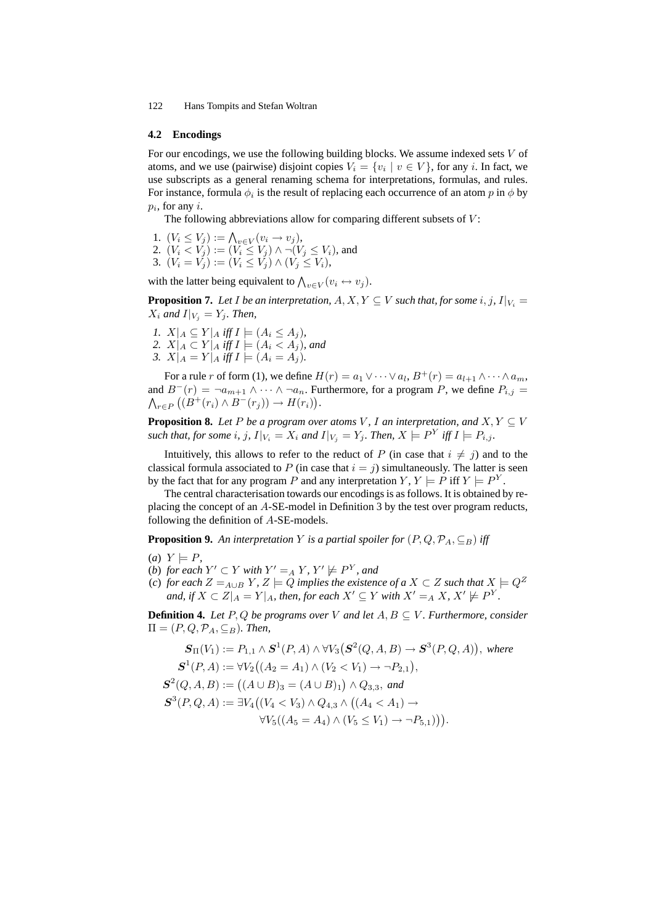#### **4.2 Encodings**

For our encodings, we use the following building blocks. We assume indexed sets  $V$  of atoms, and we use (pairwise) disjoint copies  $V_i = \{v_i \mid v \in V\}$ , for any *i*. In fact, we use subscripts as a general renaming schema for interpretations, formulas, and rules. For instance, formula  $\phi_i$  is the result of replacing each occurrence of an atom  $p$  in  $\phi$  by  $p_i$ , for any  $i$ .

The following abbreviations allow for comparing different subsets of  $V$ :

- 1.  $(V_i \le V_j) := \bigwedge_{v \in V} (v_i \to v_j),$ 2.  $(V_i < V_j) := (V_i \le V_j) \wedge \neg (V_j \le V_i)$ , and
- 3.  $(V_i = V_j) := (V_i \le V_j) \wedge (V_j \le V_i),$

with the latter being equivalent to  $\bigwedge_{v \in V} (v_i \leftrightarrow v_j)$ .

**Proposition 7.** Let I be an interpretation,  $A, X, Y \subseteq V$  such that, for some i, j,  $I|_{V_i} =$  $X_i$  and  $I|_{V_i} = Y_i$ . Then,

*1.*  $X|_A \subseteq Y|_A$  *iff*  $I \models (A_i \leq A_j)$ *,* 2.  $X|_A \subset Y|_A$  iff  $I \models (A_i \lt A_j)$ *, and 3.*  $X|_A = Y|_A$  *iff*  $I \models (A_i = A_j)$ *.* 

For a rule r of form (1), we define  $H(r) = a_1 \vee \cdots \vee a_l$ ,  $B^+(r) = a_{l+1} \wedge \cdots \wedge a_m$ , and  $B^{-}(r) = \neg a_{m+1} \wedge \cdots \wedge \neg a_n$ . Furthermore, for a program P, we define  $P_{i,j}$  $\bigwedge_{r\in P} \big( (B^+(r_i) \wedge B^-(r_j)) \to H(r_i) \big).$ 

**Proposition 8.** *Let* P *be a program over atoms V, I an interpretation, and*  $X, Y \subseteq V$ such that, for some  $i$ ,  $j$ ,  $I|_{V_i} = X_i$  and  $I|_{V_j} = Y_j$ . Then,  $X \models P^Y$  iff  $I \models P_{i,j}$ .

Intuitively, this allows to refer to the reduct of P (in case that  $i \neq j$ ) and to the classical formula associated to P (in case that  $i = j$ ) simultaneously. The latter is seen by the fact that for any program P and any interpretation  $Y, Y \models P$  iff  $Y \models P^Y$ .

The central characterisation towards our encodings is as follows. It is obtained by replacing the concept of an A-SE-model in Definition 3 by the test over program reducts, following the definition of A-SE-models.

**Proposition 9.** An interpretation Y is a partial spoiler for  $(P, Q, \mathcal{P}_A, \subseteq_B)$  iff

- $(a)$   $Y \models P$
- (*b*) *for each*  $Y' \subset Y$  *with*  $Y' =_A Y$ *,*  $Y' \not\models P^Y$ *, and*
- (*c*) *for each*  $Z =_{A\cup B} Y$ ,  $Z \models Q$  *implies the existence of a*  $X \subset Z$  *such that*  $X \models Q^Z$ *and, if*  $X \subset Z\vert_A = Y\vert_A$ *, then, for each*  $X' \subseteq Y$  *with*  $X' =_A X$ *,*  $X' \not\models P^Y$ *.*

**Definition 4.** *Let*  $P$ ,  $Q$  *be programs over*  $V$  *and let*  $A$ ,  $B \subseteq V$ *. Furthermore, consider*  $\Pi = (P, Q, \mathcal{P}_A, \subseteq_B)$ *. Then,* 

$$
S_{\Pi}(V_1) := P_{1,1} \wedge S^1(P, A) \wedge \forall V_3 (S^2(Q, A, B) \to S^3(P, Q, A)), \text{ where}
$$
  
\n
$$
S^1(P, A) := \forall V_2 ((A_2 = A_1) \wedge (V_2 < V_1) \to \neg P_{2,1}),
$$
  
\n
$$
S^2(Q, A, B) := ((A \cup B)_3 = (A \cup B)_1) \wedge Q_{3,3}, \text{ and}
$$
  
\n
$$
S^3(P, Q, A) := \exists V_4 ((V_4 < V_3) \wedge Q_{4,3} \wedge ((A_4 < A_1) \to
$$
  
\n
$$
\forall V_5 ((A_5 = A_4) \wedge (V_5 \le V_1) \to \neg P_{5,1}))).
$$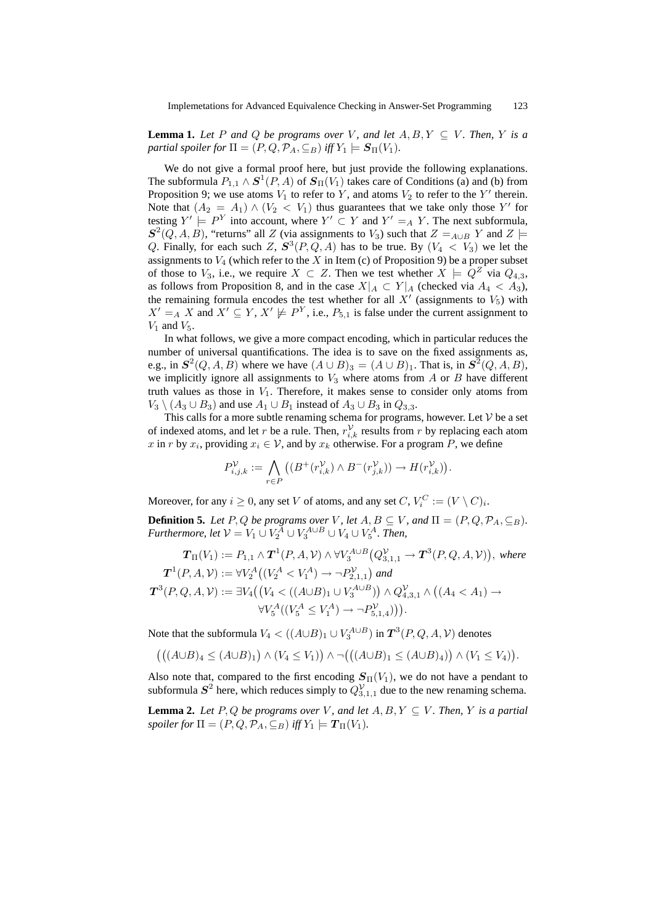**Lemma 1.** Let P and Q be programs over V, and let  $A, B, Y \subseteq V$ . Then, Y is a *partial spoiler for*  $\Pi = (P, Q, \mathcal{P}_A, \subseteq_B)$  *iff*  $Y_1 \models S_\Pi(V_1)$ *.* 

We do not give a formal proof here, but just provide the following explanations. The subformula  $P_{1,1} \wedge S^1(P,A)$  of  $S_{\Pi}(V_1)$  takes care of Conditions (a) and (b) from Proposition 9; we use atoms  $V_1$  to refer to Y, and atoms  $V_2$  to refer to the Y' therein. Note that  $(A_2 = A_1) \wedge (V_2 < V_1)$  thus guarantees that we take only those Y' for testing  $Y' \models P^Y$  into account, where  $Y' \subset Y$  and  $Y' =_A Y$ . The next subformula,  $S^2(Q, A, B)$ , "returns" all Z (via assignments to  $V_3$ ) such that  $Z =_{A \cup B} Y$  and  $Z \models$ Q. Finally, for each such Z,  $S^3(P,Q,A)$  has to be true. By  $(V_4 \lt V_3)$  we let the assignments to  $V_4$  (which refer to the X in Item (c) of Proposition 9) be a proper subset of those to  $V_3$ , i.e., we require  $X \subset Z$ . Then we test whether  $X \models Q^Z$  via  $Q_{4,3}$ , as follows from Proposition 8, and in the case  $X|_A \subset Y|_A$  (checked via  $A_4 < A_3$ ), the remaining formula encodes the test whether for all  $X'$  (assignments to  $V_5$ ) with  $X' =_A X$  and  $X' \subseteq Y$ ,  $X' \not\models P^Y$ , i.e.,  $P_{5,1}$  is false under the current assignment to  $V_1$  and  $V_5$ .

In what follows, we give a more compact encoding, which in particular reduces the number of universal quantifications. The idea is to save on the fixed assignments as, e.g., in  $S^2(Q, A, B)$  where we have  $(A \cup B)_3 = (A \cup B)_1$ . That is, in  $S^2(Q, A, B)$ , we implicitly ignore all assignments to  $V_3$  where atoms from A or B have different truth values as those in  $V_1$ . Therefore, it makes sense to consider only atoms from  $V_3 \setminus (A_3 \cup B_3)$  and use  $A_1 \cup B_1$  instead of  $A_3 \cup B_3$  in  $Q_{3,3}$ .

This calls for a more subtle renaming schema for programs, however. Let  $V$  be a set of indexed atoms, and let r be a rule. Then,  $r_{i,k}^{\mathcal{V}}$  results from r by replacing each atom x in r by  $x_i$ , providing  $x_i \in V$ , and by  $x_k$  otherwise. For a program P, we define

$$
P_{i,j,k}^{\mathcal{V}}:=\bigwedge_{r\in P}\left((B^+(r_{i,k}^{\mathcal{V}})\wedge B^-(r_{j,k}^{\mathcal{V}}))\rightarrow H(r_{i,k}^{\mathcal{V}})\right).
$$

Moreover, for any  $i \geq 0$ , any set V of atoms, and any set  $C$ ,  $V_i^C := (V \setminus C)_i$ .

**Definition 5.** *Let* P, Q *be programs over* V, *let*  $A, B \subseteq V$ , and  $\Pi = (P, Q, \mathcal{P}_A, \subseteq_B)$ . *Furthermore, let*  $V = V_1 \cup V_2^A \cup V_3^{A \cup B} \cup V_4 \cup V_5^A$ *. Then,* 

$$
\mathbf{T}_{\Pi}(V_{1}) := P_{1,1} \wedge \mathbf{T}^{1}(P,A,V) \wedge \forall V_{3}^{A\cup B}(Q_{3,1,1}^{V}) \rightarrow \mathbf{T}^{3}(P,Q,A,V)), \text{ where}
$$
\n
$$
\mathbf{T}^{1}(P,A,V) := \forall V_{2}^{A}((V_{2}^{A} < V_{1}^{A}) \rightarrow \neg P_{2,1,1}^{V}) \text{ and}
$$
\n
$$
\mathbf{T}^{3}(P,Q,A,V) := \exists V_{4}((V_{4} < ((A\cup B)_{1} \cup V_{3}^{A\cup B})) \wedge Q_{4,3,1}^{V} \wedge ((A_{4} < A_{1}) \rightarrow \forall V_{5}^{A}((V_{5}^{A} \leq V_{1}^{A}) \rightarrow \neg P_{5,1,4}^{V}))).
$$

Note that the subformula  $V_4 < ((A \cup B)_1 \cup V_3^{A \cup B})$  in  $\textbf{T}^3(P,Q,A,\mathcal{V})$  denotes

$$
(((A\cup B)_4 \leq (A\cup B)_1) \wedge (V_4 \leq V_1)) \wedge \neg (((A\cup B)_1 \leq (A\cup B)_4)) \wedge (V_1 \leq V_4)).
$$

Also note that, compared to the first encoding  $S_{\Pi}(V_1)$ , we do not have a pendant to subformula  $S^2$  here, which reduces simply to  $Q_{3,1,1}^{\mathcal{V}}$  due to the new renaming schema.

**Lemma 2.** *Let* P, Q *be programs over* V, and let  $A, B, Y \subseteq V$ . Then, Y is a partial *spoiler for*  $\Pi = (P, Q, \mathcal{P}_A, \mathsf{C}_B)$  *iff*  $Y_1 \models T_\Pi(V_1)$ *.*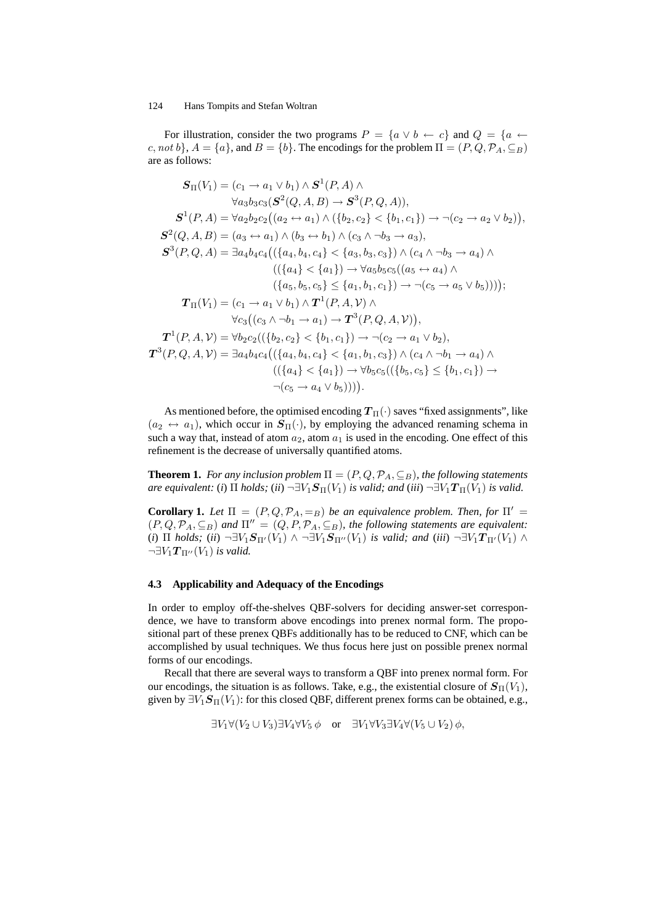For illustration, consider the two programs  $P = \{a \lor b \leftarrow c\}$  and  $Q = \{a \leftarrow$ c, not b},  $A = \{a\}$ , and  $B = \{b\}$ . The encodings for the problem  $\Pi = (P, Q, \mathcal{P}_A, \subseteq_B)$ are as follows:

$$
S_{\Pi}(V_{1}) = (c_{1} \rightarrow a_{1} \lor b_{1}) \land S^{1}(P, A) \land \forall a_{3}b_{3}c_{3}(S^{2}(Q, A, B) \rightarrow S^{3}(P, Q, A)),
$$
\n
$$
S^{1}(P, A) = \forall a_{2}b_{2}c_{2}((a_{2} \leftrightarrow a_{1}) \land (\{b_{2}, c_{2}\} < \{b_{1}, c_{1}\}) \rightarrow \neg(c_{2} \rightarrow a_{2} \lor b_{2})),
$$
\n
$$
S^{2}(Q, A, B) = (a_{3} \leftrightarrow a_{1}) \land (b_{3} \leftrightarrow b_{1}) \land (c_{3} \land \neg b_{3} \rightarrow a_{3}),
$$
\n
$$
S^{3}(P, Q, A) = \exists a_{4}b_{4}c_{4}((\{a_{4}, b_{4}, c_{4}\} < \{a_{3}, b_{3}, c_{3}\}) \land (c_{4} \land \neg b_{3} \rightarrow a_{4}) \land ((\{a_{4}\} < \{a_{1}\}) \rightarrow \forall a_{5}b_{5}c_{5}((a_{5} \leftrightarrow a_{4}) \land (\{a_{5}, b_{5}, c_{5}\}) \leq \{a_{1}, b_{1}, c_{1}\}) \rightarrow \neg(c_{5} \rightarrow a_{5} \lor b_{5}))));
$$
\n
$$
T_{\Pi}(V_{1}) = (c_{1} \rightarrow a_{1} \lor b_{1}) \land T^{1}(P, A, V) \land \forall c_{3}((c_{3} \land \neg b_{1} \rightarrow a_{1}) \rightarrow T^{3}(P, Q, A, V)),
$$
\n
$$
T^{1}(P, A, V) = \forall b_{2}c_{2}((\{b_{2}, c_{2}\} < \{b_{1}, c_{1}\}) \rightarrow \neg(c_{2} \rightarrow a_{1} \lor b_{2}),
$$
\n
$$
T^{3}(P, Q, A, V) = \exists a_{4}b_{4}c_{4}((\{a_{4}, b_{4}, c_{4}\} < \{a_{1}, b_{1}, c_{3}\}) \land (c_{4} \land \neg b_{1} \rightarrow a_{4}) \land ((\{a_{4}\} < \{a_{1}\}) \rightarrow \forall b_{5}c_{5}((\{b_{5}, c_{5}\}) \leq \{b_{1}, c_{1}\}) \rightarrow (\{c_{5} \rightarrow a_{4} \lor
$$

As mentioned before, the optimised encoding  $T_{\Pi}(\cdot)$  saves "fixed assignments", like  $(a_2 \leftrightarrow a_1)$ , which occur in  $S_{\Pi}(\cdot)$ , by employing the advanced renaming schema in such a way that, instead of atom  $a_2$ , atom  $a_1$  is used in the encoding. One effect of this refinement is the decrease of universally quantified atoms.

**Theorem 1.** *For any inclusion problem*  $\Pi = (P, Q, P_A, \subseteq_B)$ *, the following statements are equivalent:* (*i*)  $\Pi$  *holds;* (*ii*)  $\neg \exists V_1 \mathcal{S}_{\Pi}(V_1)$  *is valid; and* (*iii*)  $\neg \exists V_1 \mathcal{T}_{\Pi}(V_1)$  *is valid.* 

**Corollary 1.** *Let*  $\Pi = (P, Q, \mathcal{P}_A, =_B)$  *be an equivalence problem. Then, for*  $\Pi' =$  $(P, Q, \mathcal{P}_A, \subseteq_B)$  and  $\Pi'' = (Q, P, \mathcal{P}_A, \subseteq_B)$ , the following statements are equivalent: (*i*)  $\Pi$  *holds;* (*ii*)  $\neg \exists V_1 \mathcal{S}_{\Pi'}(V_1) \land \neg \exists V_1 \mathcal{S}_{\Pi''}(V_1)$  *is valid; and* (*iii*)  $\neg \exists V_1 \mathcal{T}_{\Pi'}(V_1) \land \neg \exists V_2 \mathcal{T}_{\Pi'}(V_2)$  $\neg \exists V_1 \mathcal{T}_{\Pi''}(V_1)$  *is valid.* 

#### **4.3 Applicability and Adequacy of the Encodings**

In order to employ off-the-shelves QBF-solvers for deciding answer-set correspondence, we have to transform above encodings into prenex normal form. The propositional part of these prenex QBFs additionally has to be reduced to CNF, which can be accomplished by usual techniques. We thus focus here just on possible prenex normal forms of our encodings.

Recall that there are several ways to transform a QBF into prenex normal form. For our encodings, the situation is as follows. Take, e.g., the existential closure of  $S_{\Pi}(V_1)$ , given by  $\exists V_1 \mathcal{S}_{\Pi}(V_1)$ : for this closed QBF, different prenex forms can be obtained, e.g.,

$$
\exists V_1 \forall (V_2 \cup V_3) \exists V_4 \forall V_5 \phi \quad \text{or} \quad \exists V_1 \forall V_3 \exists V_4 \forall (V_5 \cup V_2) \phi,
$$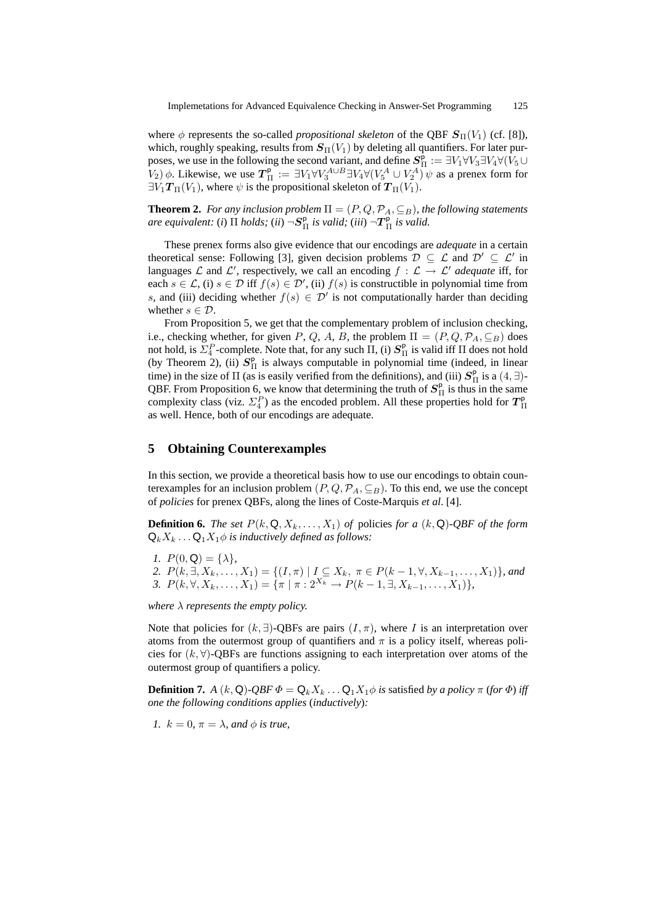where  $\phi$  represents the so-called *propositional skeleton* of the QBF  $S_{\Pi}(V_1)$  (cf. [8]), which, roughly speaking, results from  $\mathbf{S}_{\Pi}(V_1)$  by deleting all quantifiers. For later purposes, we use in the following the second variant, and define  $S_{\Pi}^{\rho} := \exists V_1 \forall V_3 \exists V_4 \forall (\tilde{V}_5 \cup$  $(V_2)$   $\phi$ . Likewise, we use  $T_{\Pi}^{\mathsf{p}} := \exists V_1 \forall V_3^{A \cup B} \exists V_4 \forall (V_5^A \cup V_2^A) \psi$  as a prenex form for  $\exists V_1 \mathcal{T}_{\Pi}(V_1)$ , where  $\psi$  is the propositional skeleton of  $\mathcal{T}_{\Pi}(V_1)$ .

**Theorem 2.** *For any inclusion problem*  $\Pi = (P, Q, \mathcal{P}_A, \subseteq_B)$ *, the following statements are equivalent:* (*i*) Π *holds;* (*ii*) ¬S p <sup>Π</sup> *is valid;* (*iii*) ¬T p <sup>Π</sup> *is valid.*

These prenex forms also give evidence that our encodings are *adequate* in a certain theoretical sense: Following [3], given decision problems  $D \subseteq \mathcal{L}$  and  $\mathcal{D}' \subseteq \mathcal{L}'$  in languages L and L', respectively, we call an encoding  $f : L \to L'$  *adequate* iff, for each  $s \in \mathcal{L}$ , (i)  $s \in \mathcal{D}$  iff  $f(s) \in \mathcal{D}'$ , (ii)  $f(s)$  is constructible in polynomial time from s, and (iii) deciding whether  $f(s) \in \mathcal{D}'$  is not computationally harder than deciding whether  $s \in \mathcal{D}$ .

From Proposition 5, we get that the complementary problem of inclusion checking, i.e., checking whether, for given P, Q, A, B, the problem  $\Pi = (P, Q, \mathcal{P}_A, \subseteq_B)$  does not hold, is  $\Sigma_4^P$ -complete. Note that, for any such  $\Pi$ , (i)  $S_\Pi^{\mathsf{p}}$  is valid iff  $\Pi$  does not hold (by Theorem 2), (ii)  $S_{\Pi}^{\mathsf{p}}$  is always computable in polynomial time (indeed, in linear time) in the size of  $\Pi$  (as is easily verified from the definitions), and (iii)  $S_{\Pi}^{\rho}$  is a (4, ∃)-QBF. From Proposition 6, we know that determining the truth of  $S_{\Pi}^{\rho}$  is thus in the same complexity class (viz.  $\Sigma_4^P$ ) as the encoded problem. All these properties hold for  $T_{\Pi}^{\rm p}$ as well. Hence, both of our encodings are adequate.

## **5 Obtaining Counterexamples**

In this section, we provide a theoretical basis how to use our encodings to obtain counterexamples for an inclusion problem  $(P, Q, \mathcal{P}_A, \subseteq_B)$ . To this end, we use the concept of *policies* for prenex QBFs, along the lines of Coste-Marquis *et al*. [4].

**Definition 6.** *The set*  $P(k, \mathbf{Q}, X_k, \ldots, X_1)$  *of* policies *for a*  $(k, \mathbf{Q})$ *-QBF of the form*  $Q_kX_k...Q_1X_1\phi$  *is inductively defined as follows:* 

*1.*  $P(0, \mathbf{Q}) = \{\lambda\},\$ 

2.  $P(k, \exists, X_k, \ldots, X_1) = \{(I, \pi) | I \subseteq X_k, \pi \in P(k-1, \forall, X_{k-1}, \ldots, X_1)\}$ *, and* 3.  $P(k, \forall, X_k, \dots, X_1) = {\pi \mid \pi : 2^{X_k} \rightarrow P(k-1, \exists, X_{k-1}, \dots, X_1)},$ 

*where*  $\lambda$  *represents the empty policy.* 

Note that policies for  $(k, \exists)$ -QBFs are pairs  $(I, \pi)$ , where I is an interpretation over atoms from the outermost group of quantifiers and  $\pi$  is a policy itself, whereas policies for  $(k, \forall)$ -QBFs are functions assigning to each interpretation over atoms of the outermost group of quantifiers a policy.

**Definition 7.** *A*  $(k, Q)$ *-QBF*  $\Phi = Q_k X_k ... Q_1 X_1 \phi$  *is* satisfied *by a policy*  $\pi$  (*for*  $\Phi$ ) *iff one the following conditions applies* (*inductively*)*:*

*1.*  $k = 0$ ,  $\pi = \lambda$ , and  $\phi$  *is true.*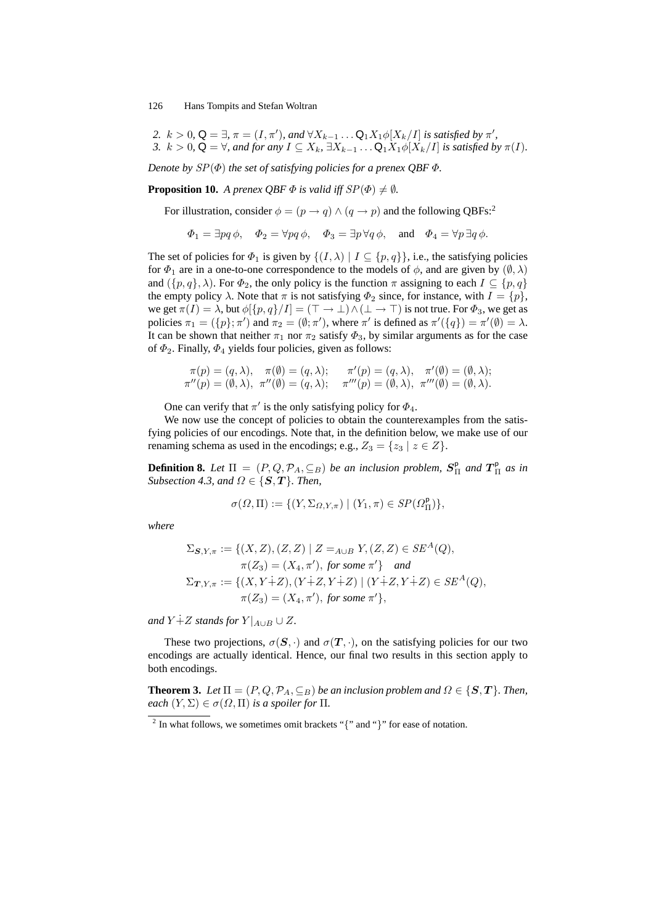\n- 2. 
$$
k > 0
$$
,  $\mathsf{Q} = \exists$ ,  $\pi = (I, \pi')$ , and  $\forall X_{k-1} \dots \mathsf{Q}_1 X_1 \phi[X_k/I]$  is satisfied by  $\pi'$ ,
\n- 3.  $k > 0$ ,  $\mathsf{Q} = \forall$ , and for any  $I \subseteq X_k$ ,  $\exists X_{k-1} \dots \mathsf{Q}_1 X_1 \phi[X_k/I]$  is satisfied by  $\pi(I)$ .
\n

*Denote by* SP(Φ) *the set of satisfying policies for a prenex QBF* Φ*.*

**Proposition 10.** *A prenex QBF*  $\Phi$  *is valid iff*  $SP(\Phi) \neq \emptyset$ *.* 

For illustration, consider  $\phi = (p \rightarrow q) \land (q \rightarrow p)$  and the following QBFs:<sup>2</sup>

$$
\Phi_1 = \exists pq \, \phi, \quad \Phi_2 = \forall pq \, \phi, \quad \Phi_3 = \exists p \, \forall q \, \phi, \quad \text{and} \quad \Phi_4 = \forall p \, \exists q \, \phi.
$$

The set of policies for  $\Phi_1$  is given by  $\{(I, \lambda) \mid I \subseteq \{p, q\}\}\)$ , i.e., the satisfying policies for  $\Phi_1$  are in a one-to-one correspondence to the models of  $\phi$ , and are given by  $(\emptyset, \lambda)$ and  $(\lbrace p, q \rbrace, \lambda)$ . For  $\Phi_2$ , the only policy is the function  $\pi$  assigning to each  $I \subseteq \lbrace p, q \rbrace$ the empty policy  $\lambda$ . Note that  $\pi$  is not satisfying  $\Phi_2$  since, for instance, with  $I = \{p\}$ , we get  $\pi(I) = \lambda$ , but  $\phi[\{p, q\}/I] = (\top \to \bot) \wedge (\bot \to \top)$  is not true. For  $\Phi_3$ , we get as policies  $\pi_1 = (\{p\}; \pi')$  and  $\pi_2 = (\emptyset; \pi')$ , where  $\pi'$  is defined as  $\pi'(\{q\}) = \pi'(\emptyset) = \lambda$ . It can be shown that neither  $\pi_1$  nor  $\pi_2$  satisfy  $\Phi_3$ , by similar arguments as for the case of  $\Phi_2$ . Finally,  $\Phi_4$  yields four policies, given as follows:

$$
\pi(p) = (q, \lambda), \quad \pi(\emptyset) = (q, \lambda); \qquad \pi'(p) = (q, \lambda), \quad \pi'(\emptyset) = (\emptyset, \lambda); \n\pi''(p) = (\emptyset, \lambda), \quad \pi''(\emptyset) = (q, \lambda); \qquad \pi'''(p) = (\emptyset, \lambda), \quad \pi'''(\emptyset) = (\emptyset, \lambda).
$$

One can verify that  $\pi'$  is the only satisfying policy for  $\Phi_4$ .

We now use the concept of policies to obtain the counterexamples from the satisfying policies of our encodings. Note that, in the definition below, we make use of our renaming schema as used in the encodings; e.g.,  $Z_3 = \{z_3 \mid z \in Z\}$ .

**Definition 8.** Let  $\Pi = (P, Q, \mathcal{P}_A, \subseteq_B)$  be an inclusion problem,  $S_{\Pi}^{\rho}$  and  $T_{\Pi}^{\rho}$  as in *Subsection 4.3, and*  $\Omega \in \{S, T\}$ *. Then,* 

$$
\sigma(\Omega, \Pi) := \{ (Y, \Sigma_{\Omega, Y, \pi}) \mid (Y_1, \pi) \in SP(\Omega^{\mathsf{p}}_{\Pi}) \},
$$

*where*

$$
\Sigma_{\mathcal{S},Y,\pi} := \{ (X,Z), (Z,Z) \mid Z =_{A\cup B} Y, (Z,Z) \in SE^A(Q),
$$
  
\n
$$
\pi(Z_3) = (X_4, \pi'), \text{ for some } \pi' \} \text{ and}
$$
  
\n
$$
\Sigma_{\mathbf{T},Y,\pi} := \{ (X,Y+Z), (Y+Z,Y+Z) \mid (Y+Z,Y+Z) \in SE^A(Q),
$$
  
\n
$$
\pi(Z_3) = (X_4, \pi'), \text{ for some } \pi' \},
$$

*and*  $Y \dot{+} Z$  *stands for*  $Y|_{A \cup B} \cup Z$ *.* 

These two projections,  $\sigma(\mathbf{S}, \cdot)$  and  $\sigma(\mathbf{T}, \cdot)$ , on the satisfying policies for our two encodings are actually identical. Hence, our final two results in this section apply to both encodings.

**Theorem 3.** *Let*  $\Pi = (P, Q, \mathcal{P}_A, \subseteq_B)$  *be an inclusion problem and*  $\Omega \in \{S, T\}$ *. Then, each*  $(Y, \Sigma) \in \sigma(\Omega, \Pi)$  *is a spoiler for*  $\Pi$ *.* 

<sup>&</sup>lt;sup>2</sup> In what follows, we sometimes omit brackets "{" and "}" for ease of notation.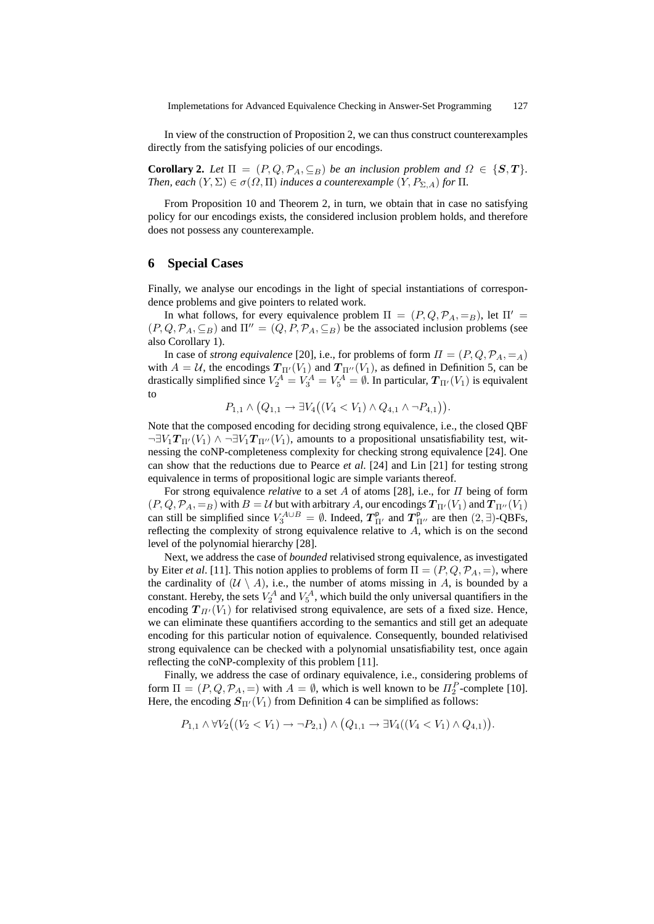In view of the construction of Proposition 2, we can thus construct counterexamples directly from the satisfying policies of our encodings.

**Corollary 2.** Let  $\Pi = (P, Q, \mathcal{P}_A, \subseteq_B)$  be an inclusion problem and  $\Omega \in \{S, T\}$ . *Then, each*  $(Y, \Sigma) \in \sigma(\Omega, \Pi)$  *induces a counterexample*  $(Y, P_{\Sigma, A})$  *for*  $\Pi$ *.* 

From Proposition 10 and Theorem 2, in turn, we obtain that in case no satisfying policy for our encodings exists, the considered inclusion problem holds, and therefore does not possess any counterexample.

### **6 Special Cases**

Finally, we analyse our encodings in the light of special instantiations of correspondence problems and give pointers to related work.

In what follows, for every equivalence problem  $\Pi = (P, Q, \mathcal{P}_A, =_B)$ , let  $\Pi' =$  $(P,Q,\mathcal{P}_A,\subseteq_B)$  and  $\Pi''=(Q,P,\mathcal{P}_A,\subseteq_B)$  be the associated inclusion problems (see also Corollary 1).

In case of *strong equivalence* [20], i.e., for problems of form  $\Pi = (P, Q, P_A, =_A)$ with  $A = U$ , the encodings  $T_{\Pi'}(V_1)$  and  $T_{\Pi''}(V_1)$ , as defined in Definition 5, can be drastically simplified since  $V_2^A = V_3^A = V_5^A = \emptyset$ . In particular,  $T_{\Pi'}(V_1)$  is equivalent to

$$
P_{1,1} \wedge (Q_{1,1} \to \exists V_4((V_4 < V_1) \wedge Q_{4,1} \wedge \neg P_{4,1})).
$$

Note that the composed encoding for deciding strong equivalence, i.e., the closed QBF  $\neg \exists V_1 T_{\Pi'}(V_1) \land \neg \exists V_1 T_{\Pi''}(V_1)$ , amounts to a propositional unsatisfiability test, witnessing the coNP-completeness complexity for checking strong equivalence [24]. One can show that the reductions due to Pearce *et al*. [24] and Lin [21] for testing strong equivalence in terms of propositional logic are simple variants thereof.

For strong equivalence *relative* to a set A of atoms [28], i.e., for Π being of form  $(P, Q, \mathcal{P}_A, =_B)$  with  $B = \mathcal{U}$  but with arbitrary A, our encodings  $T_{\Pi'}(V_1)$  and  $T_{\Pi''}(V_1)$ can still be simplified since  $V_3^{A\cup B} = \emptyset$ . Indeed,  $T_{\Pi'}^{\rho}$  and  $T_{\Pi''}^{\rho}$  are then  $(2, \exists)$ -QBFs, reflecting the complexity of strong equivalence relative to A, which is on the second level of the polynomial hierarchy [28].

Next, we address the case of *bounded* relativised strong equivalence, as investigated by Eiter *et al.* [11]. This notion applies to problems of form  $\Pi = (P, Q, \mathcal{P}_A, =)$ , where the cardinality of  $(U \setminus A)$ , i.e., the number of atoms missing in A, is bounded by a constant. Hereby, the sets  $V_2^A$  and  $V_5^A$ , which build the only universal quantifiers in the encoding  $T_{\Pi'}(V_1)$  for relativised strong equivalence, are sets of a fixed size. Hence, we can eliminate these quantifiers according to the semantics and still get an adequate encoding for this particular notion of equivalence. Consequently, bounded relativised strong equivalence can be checked with a polynomial unsatisfiability test, once again reflecting the coNP-complexity of this problem [11].

Finally, we address the case of ordinary equivalence, i.e., considering problems of form  $\Pi = (P, Q, \mathcal{P}_A, =)$  with  $A = \emptyset$ , which is well known to be  $\Pi_2^P$ -complete [10]. Here, the encoding  $S_{\Pi'}(V_1)$  from Definition 4 can be simplified as follows:

$$
P_{1,1} \wedge \forall V_2 ((V_2 < V_1) \rightarrow \neg P_{2,1}) \wedge (Q_{1,1} \rightarrow \exists V_4 ((V_4 < V_1) \wedge Q_{4,1})).
$$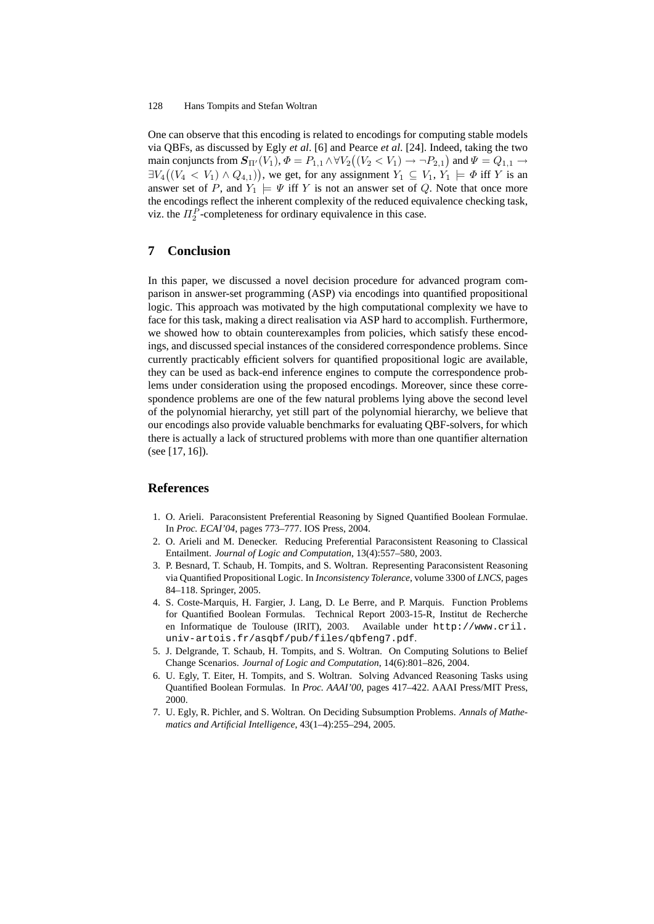One can observe that this encoding is related to encodings for computing stable models via QBFs, as discussed by Egly *et al*. [6] and Pearce *et al*. [24]. Indeed, taking the two main conjuncts from  $\mathbf{S}_{\Pi'}(V_1),\Phi=P_{1,1}\wedge \forall V_2\big((V_2< V_1)\to \neg P_{2,1}\big)$  and  $\Psi=Q_{1,1}\to \emptyset$  $\exists V_4((V_4 \lt V_1) \wedge Q_{4,1}))$ , we get, for any assignment  $Y_1 \subseteq V_1, Y_1 \models \Phi$  iff Y is an answer set of P, and  $Y_1 \models \Psi$  iff Y is not an answer set of Q. Note that once more the encodings reflect the inherent complexity of the reduced equivalence checking task, viz. the  $\Pi_2^P$ -completeness for ordinary equivalence in this case.

# **7 Conclusion**

In this paper, we discussed a novel decision procedure for advanced program comparison in answer-set programming (ASP) via encodings into quantified propositional logic. This approach was motivated by the high computational complexity we have to face for this task, making a direct realisation via ASP hard to accomplish. Furthermore, we showed how to obtain counterexamples from policies, which satisfy these encodings, and discussed special instances of the considered correspondence problems. Since currently practicably efficient solvers for quantified propositional logic are available, they can be used as back-end inference engines to compute the correspondence problems under consideration using the proposed encodings. Moreover, since these correspondence problems are one of the few natural problems lying above the second level of the polynomial hierarchy, yet still part of the polynomial hierarchy, we believe that our encodings also provide valuable benchmarks for evaluating QBF-solvers, for which there is actually a lack of structured problems with more than one quantifier alternation (see [17, 16]).

# **References**

- 1. O. Arieli. Paraconsistent Preferential Reasoning by Signed Quantified Boolean Formulae. In *Proc. ECAI'04*, pages 773–777. IOS Press, 2004.
- 2. O. Arieli and M. Denecker. Reducing Preferential Paraconsistent Reasoning to Classical Entailment. *Journal of Logic and Computation*, 13(4):557–580, 2003.
- 3. P. Besnard, T. Schaub, H. Tompits, and S. Woltran. Representing Paraconsistent Reasoning via Quantified Propositional Logic. In *Inconsistency Tolerance*, volume 3300 of *LNCS*, pages 84–118. Springer, 2005.
- 4. S. Coste-Marquis, H. Fargier, J. Lang, D. Le Berre, and P. Marquis. Function Problems for Quantified Boolean Formulas. Technical Report 2003-15-R, Institut de Recherche en Informatique de Toulouse (IRIT), 2003. Available under http://www.cril. univ-artois.fr/asqbf/pub/files/qbfeng7.pdf.
- 5. J. Delgrande, T. Schaub, H. Tompits, and S. Woltran. On Computing Solutions to Belief Change Scenarios. *Journal of Logic and Computation*, 14(6):801–826, 2004.
- 6. U. Egly, T. Eiter, H. Tompits, and S. Woltran. Solving Advanced Reasoning Tasks using Quantified Boolean Formulas. In *Proc. AAAI'00*, pages 417–422. AAAI Press/MIT Press, 2000.
- 7. U. Egly, R. Pichler, and S. Woltran. On Deciding Subsumption Problems. *Annals of Mathematics and Artificial Intelligence*, 43(1–4):255–294, 2005.